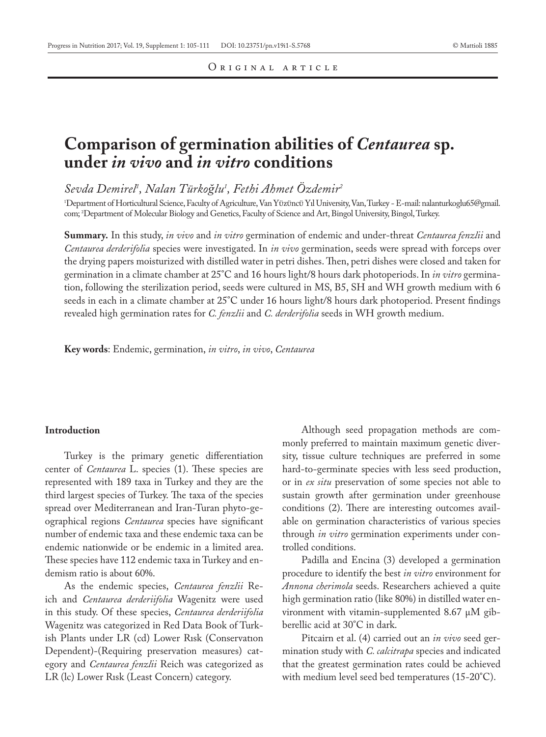# **Comparison of germination abilities of** *Centaurea* **sp. under** *in vivo* **and** *in vitro* **conditions**

*Sevda Demirel1 , Nalan Türkoğlu1 , Fethi Ahmet Özdemir2*

1 Department of Horticultural Science, Faculty of Agriculture, Van YÜzÜncÜ Yıl University, Van, Turkey - E-mail: nalanturkoglu65@gmail. com; 2 Department of Molecular Biology and Genetics, Faculty of Science and Art, Bingol University, Bingol, Turkey.

**Summary.** In this study, *in vivo* and *in vitro* germination of endemic and under-threat *Centaurea fenzlii* and *Centaurea derderifolia* species were investigated. In *in vivo* germination, seeds were spread with forceps over the drying papers moisturized with distilled water in petri dishes. Then, petri dishes were closed and taken for germination in a climate chamber at 25°C and 16 hours light/8 hours dark photoperiods. In *in vitro* germination, following the sterilization period, seeds were cultured in MS, B5, SH and WH growth medium with 6 seeds in each in a climate chamber at 25°C under 16 hours light/8 hours dark photoperiod. Present findings revealed high germination rates for *C. fenzlii* and *C. derderifolia* seeds in WH growth medium.

**Key words**: Endemic, germination, *in vitro*, *in vivo*, *Centaurea*

#### **Introduction**

Turkey is the primary genetic differentiation center of *Centaurea* L. species (1). These species are represented with 189 taxa in Turkey and they are the third largest species of Turkey. The taxa of the species spread over Mediterranean and Iran-Turan phyto-geographical regions *Centaurea* species have significant number of endemic taxa and these endemic taxa can be endemic nationwide or be endemic in a limited area. These species have 112 endemic taxa in Turkey and endemism ratio is about 60%.

As the endemic species, *Centaurea fenzlii* Reich and *Centaurea derderiifolia* Wagenitz were used in this study. Of these species, *Centaurea derderiifolia* Wagenitz was categorized in Red Data Book of Turkish Plants under LR (cd) Lower Rısk (Conservatıon Dependent)-(Requiring preservation measures) category and *Centaurea fenzlii* Reich was categorized as LR (lc) Lower Rısk (Least Concern) category.

Although seed propagation methods are commonly preferred to maintain maximum genetic diversity, tissue culture techniques are preferred in some hard-to-germinate species with less seed production, or in *ex situ* preservation of some species not able to sustain growth after germination under greenhouse conditions (2). There are interesting outcomes available on germination characteristics of various species through *in vitro* germination experiments under controlled conditions.

Padilla and Encina (3) developed a germination procedure to identify the best *in vitro* environment for *Annona cherimola* seeds. Researchers achieved a quite high germination ratio (like 80%) in distilled water environment with vitamin-supplemented 8.67 μM gibberellic acid at 30°C in dark.

Pitcairn et al. (4) carried out an *in vivo* seed germination study with *C. calcitrapa* species and indicated that the greatest germination rates could be achieved with medium level seed bed temperatures (15-20°C).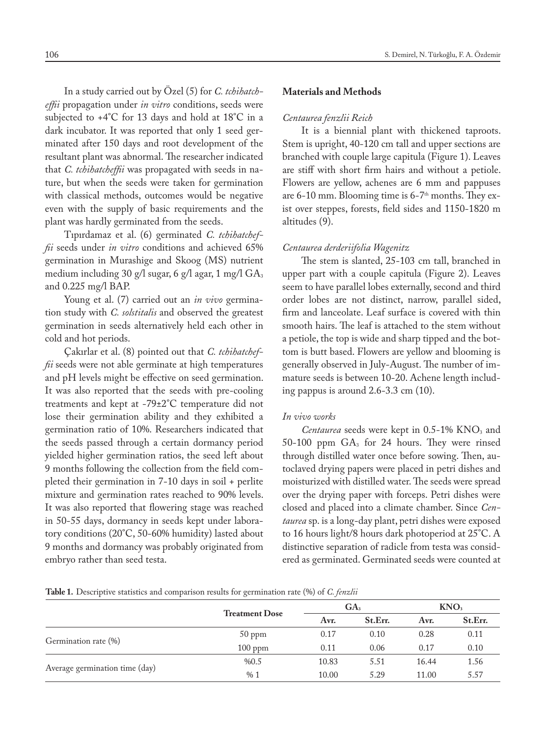In a study carried out by Özel (5) for *C. tchihatcheffii* propagation under *in vitro* conditions, seeds were subjected to +4°C for 13 days and hold at 18°C in a dark incubator. It was reported that only 1 seed germinated after 150 days and root development of the resultant plant was abnormal. The researcher indicated that *C. tchihatcheffii* was propagated with seeds in nature, but when the seeds were taken for germination with classical methods, outcomes would be negative even with the supply of basic requirements and the plant was hardly germinated from the seeds.

Tıpırdamaz et al. (6) germinated *C. tchihatcheffii* seeds under *in vitro* conditions and achieved 65% germination in Murashige and Skoog (MS) nutrient medium including 30 g/l sugar, 6 g/l agar, 1 mg/l  $GA_3$ and 0.225 mg/l BAP.

Young et al. (7) carried out an *in vivo* germination study with *C. solstitalis* and observed the greatest germination in seeds alternatively held each other in cold and hot periods.

Çakırlar et al. (8) pointed out that *C. tchihatcheffii* seeds were not able germinate at high temperatures and pH levels might be effective on seed germination. It was also reported that the seeds with pre-cooling treatments and kept at -79±2°C temperature did not lose their germination ability and they exhibited a germination ratio of 10%. Researchers indicated that the seeds passed through a certain dormancy period yielded higher germination ratios, the seed left about 9 months following the collection from the field completed their germination in 7-10 days in soil + perlite mixture and germination rates reached to 90% levels. It was also reported that flowering stage was reached in 50-55 days, dormancy in seeds kept under laboratory conditions (20°C, 50-60% humidity) lasted about 9 months and dormancy was probably originated from embryo rather than seed testa.

#### 106 S. Demirel, N. Türkoğlu, F. A. Özdemir

## **Materials and Methods**

# *Centaurea fenzlii Reich*

It is a biennial plant with thickened taproots. Stem is upright, 40-120 cm tall and upper sections are branched with couple large capitula (Figure 1). Leaves are stiff with short firm hairs and without a petiole. Flowers are yellow, achenes are 6 mm and pappuses are 6-10 mm. Blooming time is  $6-7<sup>th</sup>$  months. They exist over steppes, forests, field sides and 1150-1820 m altitudes (9).

#### *Centaurea derderiifolia Wagenitz*

The stem is slanted, 25-103 cm tall, branched in upper part with a couple capitula (Figure 2). Leaves seem to have parallel lobes externally, second and third order lobes are not distinct, narrow, parallel sided, firm and lanceolate. Leaf surface is covered with thin smooth hairs. The leaf is attached to the stem without a petiole, the top is wide and sharp tipped and the bottom is butt based. Flowers are yellow and blooming is generally observed in July-August. The number of immature seeds is between 10-20. Achene length including pappus is around 2.6-3.3 cm (10).

#### *In vivo works*

*Centaurea* seeds were kept in 0.5-1% KNO<sub>3</sub> and 50-100 ppm  $GA_3$  for 24 hours. They were rinsed through distilled water once before sowing. Then, autoclaved drying papers were placed in petri dishes and moisturized with distilled water. The seeds were spread over the drying paper with forceps. Petri dishes were closed and placed into a climate chamber. Since *Centaurea* sp. is a long-day plant, petri dishes were exposed to 16 hours light/8 hours dark photoperiod at 25°C. A distinctive separation of radicle from testa was considered as germinated. Germinated seeds were counted at

**Table 1.** Descriptive statistics and comparison results for germination rate (%) of *C. fenzlii*

|                                |                       | GA <sub>3</sub> |         | KNO <sub>3</sub> |         |
|--------------------------------|-----------------------|-----------------|---------|------------------|---------|
|                                | <b>Treatment Dose</b> | Avr.            | St.Err. | Avr.             | St.Err. |
|                                | $50$ ppm              | 0.17            | 0.10    | 0.28             | 0.11    |
| Germination rate (%)           | $100$ ppm             | 0.11            | 0.06    | 0.17             | 0.10    |
|                                | %0.5                  | 10.83           | 5.51    | 16.44            | 1.56    |
| Average germination time (day) | %1                    | 10.00           | 5.29    | 11.00            | 5.57    |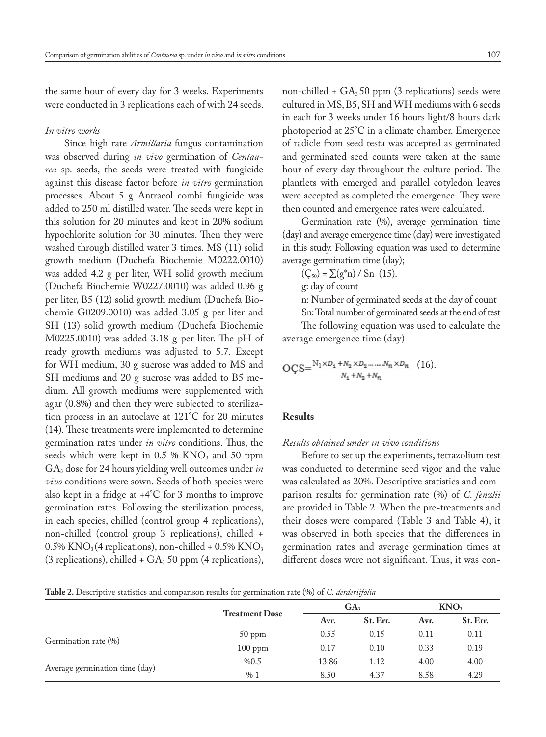the same hour of every day for 3 weeks. Experiments were conducted in 3 replications each of with 24 seeds.

#### *In vitro works*

Since high rate *Armillaria* fungus contamination was observed during *in vivo* germination of *Centaurea* sp. seeds, the seeds were treated with fungicide against this disease factor before *in vitro* germination processes. About 5 g Antracol combi fungicide was added to 250 ml distilled water. The seeds were kept in this solution for 20 minutes and kept in 20% sodium hypochlorite solution for 30 minutes. Then they were washed through distilled water 3 times. MS (11) solid growth medium (Duchefa Biochemie M0222.0010) was added 4.2 g per liter, WH solid growth medium (Duchefa Biochemie W0227.0010) was added 0.96 g per liter, B5 (12) solid growth medium (Duchefa Biochemie G0209.0010) was added 3.05 g per liter and SH (13) solid growth medium (Duchefa Biochemie M0225.0010) was added 3.18 g per liter. The pH of ready growth mediums was adjusted to 5.7. Except for WH medium, 30 g sucrose was added to MS and SH mediums and 20 g sucrose was added to B5 medium. All growth mediums were supplemented with agar (0.8%) and then they were subjected to sterilization process in an autoclave at 121°C for 20 minutes (14). These treatments were implemented to determine germination rates under *in vitro* conditions. Thus, the seeds which were kept in  $0.5\%$  KNO<sub>3</sub> and 50 ppm GA3 dose for 24 hours yielding well outcomes under *in vivo* conditions were sown. Seeds of both species were also kept in a fridge at +4°C for 3 months to improve germination rates. Following the sterilization process, in each species, chilled (control group 4 replications), non-chilled (control group 3 replications), chilled +  $0.5\%$  KNO<sub>3</sub> (4 replications), non-chilled +  $0.5\%$  KNO<sub>3</sub> (3 replications), chilled  $+$  GA<sub>3</sub> 50 ppm (4 replications),

non-chilled +  $GA_350$  ppm (3 replications) seeds were cultured in MS, B5, SH and WH mediums with 6 seeds in each for 3 weeks under 16 hours light/8 hours dark photoperiod at 25°C in a climate chamber. Emergence of radicle from seed testa was accepted as germinated and germinated seed counts were taken at the same hour of every day throughout the culture period. The plantlets with emerged and parallel cotyledon leaves were accepted as completed the emergence. They were then counted and emergence rates were calculated.

Germination rate (%), average germination time (day) and average emergence time (day) were investigated in this study. Following equation was used to determine average germination time (day);

 $(C_{50}) = \sum (g^*n) / Sn$  (15).

g: day of count

n: Number of germinated seeds at the day of count

Sn: Total number of germinated seeds at the end of test

The following equation was used to calculate the average emergence time (day)

$$
OCS = \frac{N_1 \times D_1 + N_2 \times D_2 \dots N_n \times D_n}{N_1 + N_2 + N_n} (16).
$$

## **Results**

# *Results obtained under ın vivo conditions*

Before to set up the experiments, tetrazolium test was conducted to determine seed vigor and the value was calculated as 20%. Descriptive statistics and comparison results for germination rate (%) of *C. fenzlii* are provided in Table 2. When the pre-treatments and their doses were compared (Table 3 and Table 4), it was observed in both species that the differences in germination rates and average germination times at different doses were not significant. Thus, it was con-

**Table 2.** Descriptive statistics and comparison results for germination rate (%) of *C. derderiifolia*

|                                |                       | GA <sub>3</sub> |          | KNO <sub>3</sub> |          |
|--------------------------------|-----------------------|-----------------|----------|------------------|----------|
|                                | <b>Treatment Dose</b> | Avr.            | St. Err. | Avr.             | St. Err. |
|                                | $50$ ppm              | 0.55            | 0.15     | 0.11             | 0.11     |
| Germination rate (%)           | $100$ ppm             | 0.17            | 0.10     | 0.33             | 0.19     |
|                                | %0.5                  | 13.86           | 1.12     | 4.00             | 4.00     |
| Average germination time (day) | %1                    | 8.50            | 4.37     | 8.58             | 4.29     |
|                                |                       |                 |          |                  |          |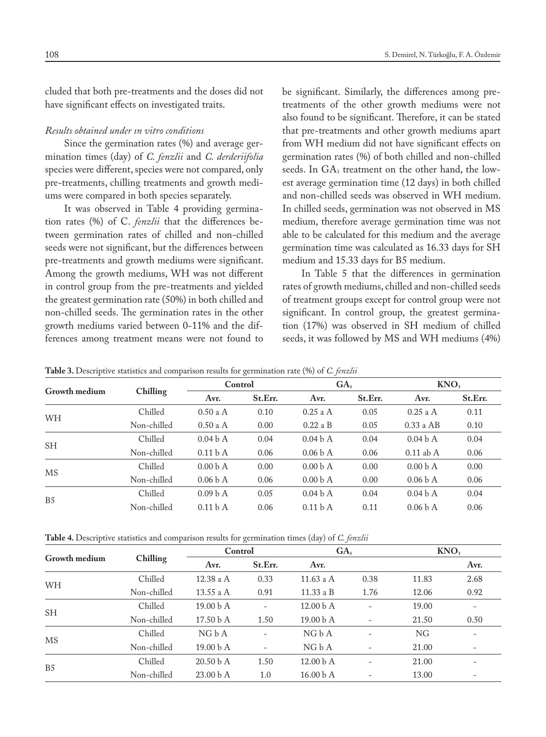cluded that both pre-treatments and the doses did not have significant effects on investigated traits.

# *Results obtained under ın vitro conditions*

Since the germination rates (%) and average germination times (day) of *C. fenzlii* and *C. derderiifolia* species were different, species were not compared, only pre-treatments, chilling treatments and growth mediums were compared in both species separately.

It was observed in Table 4 providing germination rates (%) of C. *fenzlii* that the differences between germination rates of chilled and non-chilled seeds were not significant, but the differences between pre-treatments and growth mediums were significant. Among the growth mediums, WH was not different in control group from the pre-treatments and yielded the greatest germination rate (50%) in both chilled and non-chilled seeds. The germination rates in the other growth mediums varied between 0-11% and the differences among treatment means were not found to be significant. Similarly, the differences among pretreatments of the other growth mediums were not also found to be significant. Therefore, it can be stated that pre-treatments and other growth mediums apart from WH medium did not have significant effects on germination rates (%) of both chilled and non-chilled seeds. In GA<sub>3</sub> treatment on the other hand, the lowest average germination time (12 days) in both chilled and non-chilled seeds was observed in WH medium. In chilled seeds, germination was not observed in MS medium, therefore average germination time was not able to be calculated for this medium and the average germination time was calculated as 16.33 days for SH medium and 15.33 days for B5 medium.

In Table 5 that the differences in germination rates of growth mediums, chilled and non-chilled seeds of treatment groups except for control group were not significant. In control group, the greatest germination (17%) was observed in SH medium of chilled seeds, it was followed by MS and WH mediums (4%)

| $\mathbf{r}$         |             | $\mathbf{r}$        |         |                     |         |                     |         |  |
|----------------------|-------------|---------------------|---------|---------------------|---------|---------------------|---------|--|
| <b>Growth medium</b> |             | Control             |         | GA <sub>3</sub>     |         | KNO <sub>3</sub>    |         |  |
|                      | Chilling    | Avr.                | St.Err. | Avr.                | St.Err. | Avr.                | St.Err. |  |
|                      | Chilled     | $0.50$ a A          | 0.10    | $0.25$ a A          | 0.05    | $0.25$ a A          | 0.11    |  |
| WH                   | Non-chilled | $0.50$ a A          | 0.00    | $0.22a$ B           | 0.05    | $0.33$ a AB         | 0.10    |  |
| <b>SH</b>            | Chilled     | 0.04 <sub>b</sub> A | 0.04    | 0.04 <sub>b</sub> A | 0.04    | 0.04 <sub>b</sub> A | 0.04    |  |
|                      | Non-chilled | 0.11 <sub>b</sub> A | 0.06    | 0.06 <sub>b</sub> A | 0.06    | $0.11$ ab A         | 0.06    |  |
| <b>MS</b>            | Chilled     | 0.00 <sub>b</sub> A | 0.00    | 0.00 <sub>b</sub> A | 0.00    | 0.00 <sub>b</sub> A | 0.00    |  |
|                      | Non-chilled | 0.06 <sub>b</sub> A | 0.06    | 0.00 <sub>b</sub> A | 0.00    | 0.06 <sub>b</sub> A | 0.06    |  |
| B <sub>5</sub>       | Chilled     | 0.09 <sub>b</sub> A | 0.05    | 0.04 <sub>b</sub> A | 0.04    | 0.04 <sub>b</sub> A | 0.04    |  |
|                      | Non-chilled | 0.11 <sub>b</sub> A | 0.06    | 0.11 <sub>b</sub> A | 0.11    | 0.06 <sub>b</sub> A | 0.06    |  |

**Table 3.** Descriptive statistics and comparison results for germination rate (%) of *C. fenzlii*

**Table 4.** Descriptive statistics and comparison results for germination times (day) of *C. fenzlii*

| <b>Growth medium</b> | Chilling    | Control              |                          | GA <sub>3</sub>      |                          | KNO <sub>3</sub> |                          |
|----------------------|-------------|----------------------|--------------------------|----------------------|--------------------------|------------------|--------------------------|
|                      |             | Avr.                 | St.Err.                  | Avr.                 |                          |                  | Avr.                     |
| WH                   | Chilled     | 12.38 a A            | 0.33                     | 11.63 a $A$          | 0.38                     | 11.83            | 2.68                     |
|                      | Non-chilled | 13.55 a $A$          | 0.91                     | 11.33 a B            | 1.76                     | 12.06            | 0.92                     |
| SH.                  | Chilled     | 19.00 <sub>b</sub> A | $\overline{\phantom{a}}$ | 12.00 <sub>b</sub> A | $\overline{\phantom{0}}$ | 19.00            | $\overline{\phantom{a}}$ |
|                      | Non-chilled | 17.50 b A            | 1.50                     | 19.00 <sub>b</sub> A | $\overline{\phantom{a}}$ | 21.50            | 0.50                     |
| <b>MS</b>            | Chilled     | NGbA                 |                          | NGbA                 |                          | NG.              |                          |
|                      | Non-chilled | 19.00 <sub>b</sub> A |                          | NGbA                 |                          | 21.00            | $\qquad \qquad -$        |
| B <sub>5</sub>       | Chilled     | 20.50 <sub>b</sub> A | 1.50                     | 12.00 <sub>b</sub> A |                          | 21.00            |                          |
|                      | Non-chilled | 23.00 <sub>b</sub> A | 1.0                      | 16.00 <sub>b</sub> A |                          | 13.00            | $\overline{\phantom{a}}$ |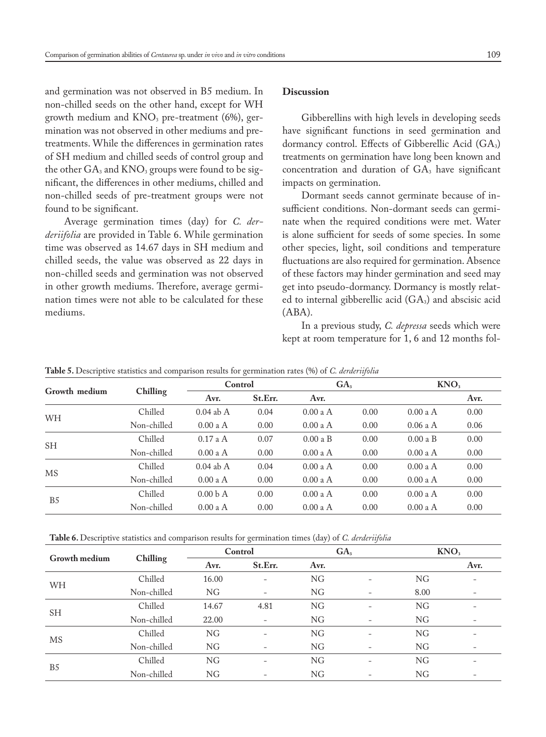and germination was not observed in B5 medium. In non-chilled seeds on the other hand, except for WH growth medium and  $KNO<sub>3</sub>$  pre-treatment (6%), germination was not observed in other mediums and pretreatments. While the differences in germination rates of SH medium and chilled seeds of control group and the other  $GA_3$  and  $KNO_3$  groups were found to be significant, the differences in other mediums, chilled and non-chilled seeds of pre-treatment groups were not found to be significant.

Average germination times (day) for *C. derderiifolia* are provided in Table 6. While germination time was observed as 14.67 days in SH medium and chilled seeds, the value was observed as 22 days in non-chilled seeds and germination was not observed in other growth mediums. Therefore, average germination times were not able to be calculated for these mediums.

# **Discussion**

Gibberellins with high levels in developing seeds have significant functions in seed germination and dormancy control. Effects of Gibberellic Acid (GA<sub>3</sub>) treatments on germination have long been known and concentration and duration of  $GA_3$  have significant impacts on germination.

Dormant seeds cannot germinate because of insufficient conditions. Non-dormant seeds can germinate when the required conditions were met. Water is alone sufficient for seeds of some species. In some other species, light, soil conditions and temperature fluctuations are also required for germination. Absence of these factors may hinder germination and seed may get into pseudo-dormancy. Dormancy is mostly related to internal gibberellic acid  $(GA_3)$  and abscisic acid (ABA).

In a previous study, *C. depressa* seeds which were kept at room temperature for 1, 6 and 12 months fol-

| Growth medium  | Chilling    | Control             |         | GA <sub>3</sub> |      | KNO <sub>3</sub> |      |
|----------------|-------------|---------------------|---------|-----------------|------|------------------|------|
|                |             | Avr.                | St.Err. | Avr.            |      |                  | Avr. |
| WH             | Chilled     | $0.04$ ab A         | 0.04    | 0.00 a A        | 0.00 | 0.00 a A         | 0.00 |
|                | Non-chilled | 0.00 a A            | 0.00    | $0.00$ a A      | 0.00 | $0.06$ a A       | 0.06 |
| SH.            | Chilled     | $0.17$ a A          | 0.07    | 0.00aB          | 0.00 | 0.00aB           | 0.00 |
|                | Non-chilled | $0.00$ a A          | 0.00    | $0.00$ a A      | 0.00 | $0.00$ a A       | 0.00 |
| <b>MS</b>      | Chilled     | $0.04$ ab A         | 0.04    | 0.00aA          | 0.00 | $0.00$ a A       | 0.00 |
|                | Non-chilled | 0.00 a A            | 0.00    | $0.00$ a A      | 0.00 | 0.00 a A         | 0.00 |
| B <sub>5</sub> | Chilled     | 0.00 <sub>b</sub> A | 0.00    | $0.00$ a A      | 0.00 | 0.00 a A         | 0.00 |
|                | Non-chilled | $0.00$ a A          | 0.00    | 0.00 a A        | 0.00 | $0.00$ a A       | 0.00 |

**Table 5.** Descriptive statistics and comparison results for germination rates (%) of *C. derderiifolia*

**Table 6.** Descriptive statistics and comparison results for germination times (day) of *C. derderiifolia*

| <b>Growth medium</b> | Chilling    | Control   |                   | GA <sub>3</sub> |                          | KNO <sub>3</sub> |                          |
|----------------------|-------------|-----------|-------------------|-----------------|--------------------------|------------------|--------------------------|
|                      |             | Avr.      | St.Err.           | Avr.            |                          |                  | Avr.                     |
|                      | Chilled     | 16.00     |                   | NG              |                          | NG               | $\qquad \qquad -$        |
| WH                   | Non-chilled | NG        |                   | NG              | $\overline{\phantom{a}}$ | 8.00             | $\overline{\phantom{a}}$ |
| <b>SH</b>            | Chilled     | 14.67     | 4.81              | NG              | $\qquad \qquad$          | NG               | $\qquad \qquad$          |
|                      | Non-chilled | 22.00     | $\qquad \qquad -$ | NG              | $\qquad \qquad$          | NG               | $\qquad \qquad$          |
| MS                   | Chilled     | NG        | ۰                 | NG              | $\overline{\phantom{0}}$ | NG               | $\overline{\phantom{a}}$ |
|                      | Non-chilled | <b>NG</b> |                   | NG              | $\overline{\phantom{0}}$ | <b>NG</b>        | $\overline{\phantom{0}}$ |
| B <sub>5</sub>       | Chilled     | NG        |                   | NG              | $\overline{\phantom{0}}$ | NG               | ۰                        |
|                      | Non-chilled | NG        |                   | NG              |                          | NG               | $\overline{\phantom{a}}$ |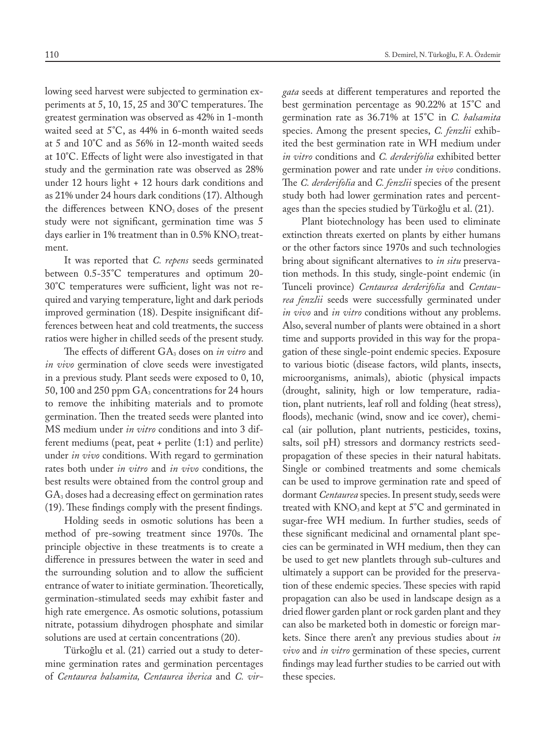lowing seed harvest were subjected to germination experiments at 5, 10, 15, 25 and 30°C temperatures. The greatest germination was observed as 42% in 1-month waited seed at 5°C, as 44% in 6-month waited seeds at 5 and 10°C and as 56% in 12-month waited seeds at 10°C. Effects of light were also investigated in that study and the germination rate was observed as 28% under 12 hours light + 12 hours dark conditions and as 21% under 24 hours dark conditions (17). Although the differences between  $KNO<sub>3</sub>$  doses of the present study were not significant, germination time was 5 days earlier in 1% treatment than in  $0.5\%$  KNO<sub>3</sub> treatment.

It was reported that *C. repens* seeds germinated between 0.5-35°C temperatures and optimum 20- 30°C temperatures were sufficient, light was not required and varying temperature, light and dark periods improved germination (18). Despite insignificant differences between heat and cold treatments, the success ratios were higher in chilled seeds of the present study.

The effects of different GA3 doses on *in vitro* and *in vivo* germination of clove seeds were investigated in a previous study. Plant seeds were exposed to 0, 10, 50, 100 and 250 ppm  $GA_3$  concentrations for 24 hours to remove the inhibiting materials and to promote germination. Then the treated seeds were planted into MS medium under *in vitro* conditions and into 3 different mediums (peat, peat + perlite (1:1) and perlite) under *in vivo* conditions. With regard to germination rates both under *in vitro* and *in vivo* conditions, the best results were obtained from the control group and GA3 doses had a decreasing effect on germination rates (19). These findings comply with the present findings.

Holding seeds in osmotic solutions has been a method of pre-sowing treatment since 1970s. The principle objective in these treatments is to create a difference in pressures between the water in seed and the surrounding solution and to allow the sufficient entrance of water to initiate germination. Theoretically, germination-stimulated seeds may exhibit faster and high rate emergence. As osmotic solutions, potassium nitrate, potassium dihydrogen phosphate and similar solutions are used at certain concentrations (20).

Türkoğlu et al. (21) carried out a study to determine germination rates and germination percentages of *Centaurea balsamita, Centaurea iberica* and *C. vir-* *gata* seeds at different temperatures and reported the best germination percentage as 90.22% at 15°C and germination rate as 36.71% at 15°C in *C. balsamita* species. Among the present species, *C. fenzlii* exhibited the best germination rate in WH medium under *in vitro* conditions and *C. derderifolia* exhibited better germination power and rate under *in vivo* conditions. The *C. derderifolia* and *C. fenzlii* species of the present study both had lower germination rates and percentages than the species studied by Türkoğlu et al. (21).

Plant biotechnology has been used to eliminate extinction threats exerted on plants by either humans or the other factors since 1970s and such technologies bring about significant alternatives to *in situ* preservation methods. In this study, single-point endemic (in Tunceli province) *Centaurea derderifolia* and *Centaurea fenzlii* seeds were successfully germinated under *in vivo* and *in vitro* conditions without any problems. Also, several number of plants were obtained in a short time and supports provided in this way for the propagation of these single-point endemic species. Exposure to various biotic (disease factors, wild plants, insects, microorganisms, animals), abiotic (physical impacts (drought, salinity, high or low temperature, radiation, plant nutrients, leaf roll and folding (heat stress), floods), mechanic (wind, snow and ice cover), chemical (air pollution, plant nutrients, pesticides, toxins, salts, soil pH) stressors and dormancy restricts seedpropagation of these species in their natural habitats. Single or combined treatments and some chemicals can be used to improve germination rate and speed of dormant *Centaurea* species. In present study, seeds were treated with  $KNO_3$  and kept at  $5^{\circ}C$  and germinated in sugar-free WH medium. In further studies, seeds of these significant medicinal and ornamental plant species can be germinated in WH medium, then they can be used to get new plantlets through sub-cultures and ultimately a support can be provided for the preservation of these endemic species. These species with rapid propagation can also be used in landscape design as a dried flower garden plant or rock garden plant and they can also be marketed both in domestic or foreign markets. Since there aren't any previous studies about *in vivo* and *in vitro* germination of these species, current findings may lead further studies to be carried out with these species.